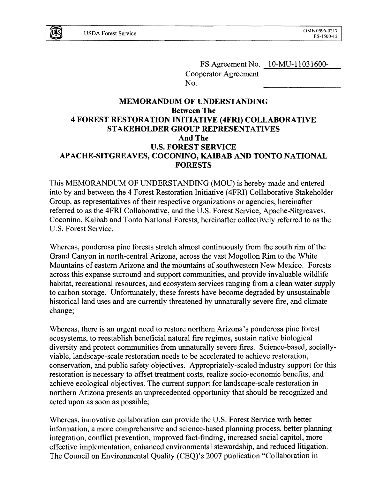

FS Agreement No. 10-MU-11031600-Cooperator Agreement No.

# **MEMORANDUM OF UNDERSTANDING Between The 4 FOREST RESTORATION INITIATIVE (4FRI) COLLABORATIVE STAKEHOLDER GROUP REPRESENTATIVES And The** U.S. **FOREST SERVICE** APACHE-SITGREAVES, COCONINO, KAIBAB AND TONTO NATIONAL **FORESTS**

This MEMORANDUM OF UNDERSTANDING (MOU) is hereby made and entered into by and between the 4 Forest Restoration Initiative (4FRI) Collaborative Stakeholder Group, as representatives of their respective organizations or agencies, hereinafter referred to as the 4FRI Collaborative, and the U.S. Forest Service, Apache-Sitgreaves, Coconino, Kaibab and Tonto National Forests, hereinafter collectively referred to as the U.S. Forest Service.

Whereas, ponderosa pine forests stretch almost continuously from the south rim of the Grand Canyon in north-central Arizona, across the vast Mogollon Rim to the White Mountains of eastern Arizona and the mountains of southwestern New Mexico. Forests across this expanse surround and support communities, and provide invaluable wildlife habitat, recreational resources, and ecosystem services ranging from a clean water supply to carbon storage. Unfortunately, these forests have become degraded by unsustainable historical land uses and are currently threatened by unnaturally severe fire, and climate change;

Whereas, there is an urgent need to restore northern Arizona's ponderosa pine forest ecosystems, to reestablish beneficial natural fire regimes, sustain native biological diversity and protect communities from unnaturally severe fires. Science-based, sociallyviable, landscape-scale restoration needs to be accelerated to achieve restoration, conservation, and public safety objectives. Appropriately-scaled industry support for this restoration is necessary to offset treatment costs, realize socio-economic benefits, and achieve ecological objectives. The current support for landscape-scale restoration in northern Arizona presents an unprecedented opportunity that should be recognized and acted upon as soon as possible;

Whereas, innovative collaboration can provide the U.S. Forest Service with better information, a more comprehensive and science-based planning process, better planning integration, conflict prevention, improved fact-finding, increased social capitol, more effective implementation, enhanced environmental stewardship, and reduced litigation. The Council on Environmental Quality (CEQ)'s 2007 publication "Collaboration in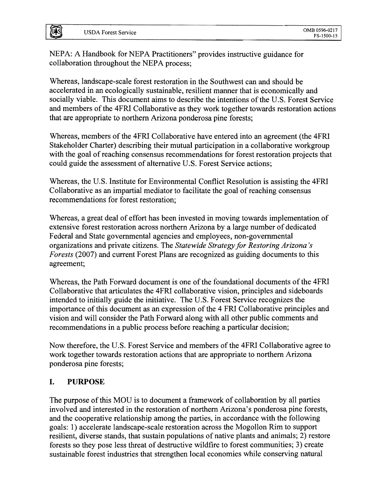**UAS** 

NEPA: A Handbook for NEPA Practitioners" provides instructive guidance for collaboration throughout the NEPA process;

Whereas, landscape-scale forest restoration in the Southwest can and should be accelerated in an ecologically sustainable, resilient manner that is economically and socially viable. This document aims to describe the intentions of the U.S. Forest Service and members of the 4FRI Collaborative as they work together towards restoration actions that are appropriate to northern Arizona ponderosa pine forests;

Whereas, members of the 4FRI Collaborative have entered into an agreement (the 4FRI Stakeholder Charter) describing their mutual participation in a collaborative workgroup with the goal of reaching consensus recommendations for forest restoration projects that could guide the assessment of alternative U.S. Forest Service actions;

Whereas, the U.S. Institute for Environmental Conflict Resolution is assisting the 4FRI Collaborative as an impartial mediator to facilitate the goal of reaching consensus recommendations for forest restoration;

Whereas, a great deal of effort has been invested in moving towards implementation of extensive forest restoration across northern Arizona by a large number of dedicated Federal and State governmental agencies and employees, non-governmental organizations and private citizens. The *Statewide Strategy for Restoring Arizona's Forests* (2007) and current Forest Plans are recognized as guiding documents to this agreement;

Whereas, the Path Forward document is one of the foundational documents of the 4FRI Collaborative that articulates the 4FRI collaborative vision, principles and sideboards intended to initially guide the initiative. The U.S. Forest Service recognizes the importance of this document as an expression of the 4 FRI Collaborative principles and vision and will consider the Path Forward along with all other public comments and recommendations in a public process before reaching a particular decision;

Now therefore, the U.S. Forest Service and members of the 4FRI Collaborative agree to work together towards restoration actions that are appropriate to northern Arizona ponderosa pine forests;

# I. PURPOSE

The purpose of this MOU is to document a framework of collaboration by all parties involved and interested in the restoration of northern Arizona's ponderosa pine forests, and the cooperative relationship among the parties, in accordance with the following goals: 1) accelerate landscape-scale restoration across the Mogollon Rim to support resilient, diverse stands, that sustain populations of native plants and animals; 2) restore forests so they pose less threat of destructive wildfire to forest communities; 3) create sustainable forest industries that strengthen local economies while conserving natural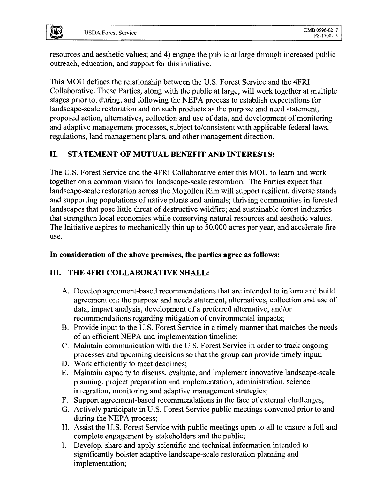ĮūĄ̃S

resources and aesthetic values; and 4) engage the public at large through increased public outreach, education, and support for this initiative.

This MOU defines the relationship between the U.S. Forest Service and the 4FRI Collaborative. These Parties, along with the public at large, will work together at multiple stages prior to, during, and following the NEPA process to establish expectations for landscape-scale restoration and on such products as the purpose and need statement, proposed action, alternatives, collection and use of data, and development of monitoring and adaptive management processes, subject to/consistent with applicable federal laws, regulations, land management plans, and other management direction.

# II. STATEMENT OF MUTUAL BENEFIT AND INTERESTS:

The U.S. Forest Service and the 4FRI Collaborative enter this MOU to learn and work together on a common vision for landscape-scale restoration. The Parties expect that landscape-scale restoration across the Mogollon Rim will support resilient, diverse stands and supporting populations of native plants and animals; thriving communities in forested landscapes that pose little threat of destructive wildfire; and sustainable forest industries that strengthen local economies while conserving natural resources and aesthetic values. The Initiative aspires to mechanically thin up to 50,000 acres per year, and accelerate fire use.

# In consideration of the above premises, the parties agree as follows:

# III. THE 4FRI COLLABORATIVE SHALL:

- A. Develop agreement-based recommendations that are intended to inform and build agreement on: the purpose and needs statement, alternatives, collection and use of data, impact analysis, development of a preferred alternative, and/or recommendations regarding mitigation of environmental impacts;
- B. Provide input to the U.S. Forest Service in a timely manner that matches the needs of an efficient NEPA and implementation timeline;
- C. Maintain communication with the U.S. Forest Service in order to track ongoing processes and upcoming decisions so that the group can provide timely input;
- D. Work efficiently to meet deadlines;
- E. Maintain capacity to discuss, evaluate, and implement innovative landscape-scale planning, project preparation and implementation, administration, science integration, monitoring and adaptive management strategies;
- F. Support agreement-based recommendations in the face of external challenges;
- G. Actively participate in U.S. Forest Service public meetings convened prior to and during the NEPA process;
- H. Assist the U.S. Forest Service with public meetings open to all to ensure a full and complete engagement by stakeholders and the public;
- I. Develop, share and apply scientific and technical information intended to significantly bolster adaptive landscape-scale restoration planning and implementation;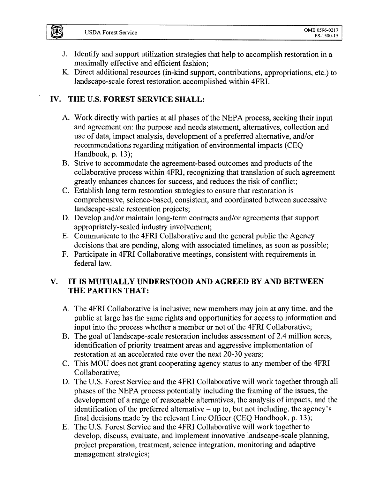- J. Identify and support utilization strategies that help to accomplish restoration in a maximally effective and efficient fashion;
- K. Direct additional resources (in-kind support, contributions, appropriations, etc.) to landscape-scale forest restoration accomplished within 4FRI.

# **IV. THE** U.S. **FOREST SERVICE SHALL:**

- A. Work directly with parties at all phases of the NEPA process, seeking their input and agreement on: the purpose and needs statement, alternatives, collection and use of data, impact analysis, development of a preferred alternative, and/or recommendations regarding mitigation of environmental impacts (CEQ Handbook, p. 13);
- B. Strive to accommodate the agreement-based outcomes and products of the collaborative process within 4FRI, recognizing that translation of such agreement greatly enhances chances for success, and reduces the risk of conflict;
- C. Establish long term restoration strategies to ensure that restoration is comprehensive, science-based, consistent, and coordinated between successive landscape-scale restoration projects;
- D. Develop and/or maintain long-term contracts and/or agreements that support appropriately-scaled industry involvement;
- E. Communicate to the 4FRI Collaborative and the general public the Agency decisions that are pending, along with associated timelines, as soon as possible;
- F. Participate in 4FRI Collaborative meetings, consistent with requirements in federal law.

# **V. IT IS MUTUALLY UNDERSTOOD AND AGREED BY AND BETWEEN THE PARTIES THAT:**

- A. The 4FRI Collaborative is inclusive; new members may join at any time, and the public at large has the same rights and opportunities for access to information and input into the process whether a member or not of the 4FRI Collaborative;
- B. The goal of landscape-scale restoration includes assessment of 2.4 million acres, identification of priority treatment areas and aggressive implementation of restoration at an accelerated rate over the next 20-30 years;
- C. This MOU does not grant cooperating agency status to any member of the 4FRI Collaborative;
- D. The U.S. Forest Service and the 4FRI Collaborative will work together through all phases of the NEPA process potentially including the framing of the issues, the development of a range of reasonable alternatives, the analysis of impacts, and the identification of the preferred alternative  $-\mu p$  to, but not including, the agency's final decisions made by the relevant Line Officer (CEQ Handbook, p. 13);
- E. The U.S. Forest Service and the 4FRI Collaborative will work together to develop, discuss, evaluate, and implement innovative landscape-scale planning, project preparation, treatment, science integration, monitoring and adaptive management strategies;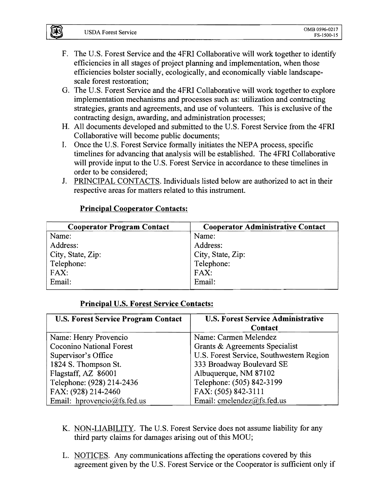- F. The U.S. Forest Service and the 4FRI Collaborative will work together to identify efficiencies in all stages of project planning and implementation, when those efficiencies bolster socially, ecologically, and economically viable landscapescale forest restoration;
- G. The U.S. Forest Service and the 4FRI Collaborative will work together to explore implementation mechanisms and processes such as: utilization and contracting strategies, grants and agreements, and use of volunteers. This is exclusive of the contracting design, awarding, and administration processes;
- H. All documents developed and submitted to the U.S. Forest Service from the 4FRI Collaborative will become public documents;
- I. Once the U.S. Forest Service formally initiates the NEPA process, specific timelines for advancing that analysis will be established. The 4FRI Collaborative will provide input to the U.S. Forest Service in accordance to these timelines in order to be considered;
- J. PRINCIPAL CONTACTS. Individuals listed below are authorized to act in their respective areas for matters related to this instrument.

# **Principal Cooperator Contacts:**

| <b>Cooperator Program Contact</b> | <b>Cooperator Administrative Contact</b> |
|-----------------------------------|------------------------------------------|
| Name:                             | Name:                                    |
| Address:                          | Address:                                 |
| City, State, Zip:                 | City, State, Zip:                        |
| Telephone:                        | Telephone:                               |
| FAX:                              | FAX:                                     |
| Email:                            | Email:                                   |
|                                   |                                          |

# **Principal U.S. Forest Service Contacts:**

| <b>U.S. Forest Service Program Contact</b> | <b>U.S. Forest Service Administrative</b><br>Contact |
|--------------------------------------------|------------------------------------------------------|
| Name: Henry Provencio                      | Name: Carmen Melendez                                |
| <b>Coconino National Forest</b>            | Grants & Agreements Specialist                       |
| Supervisor's Office                        | U.S. Forest Service, Southwestern Region             |
| 1824 S. Thompson St.                       | 333 Broadway Boulevard SE                            |
| Flagstaff, AZ 86001                        | Albuquerque, NM 87102                                |
| Telephone: (928) 214-2436                  | Telephone: (505) 842-3199                            |
| FAX: (928) 214-2460                        | FAX: (505) 842-3111                                  |
| Email: hprovencio@fs.fed.us                | Email: cmelendez@fs.fed.us                           |

- K. NON-LIABILITY. The U.S. Forest Service does not assume liability for any third party claims for damages arising out of this MOU;
- L. NOTICES. Any communications affecting the operations covered by this agreement given by the U.S. Forest Service or the Cooperator is sufficient only if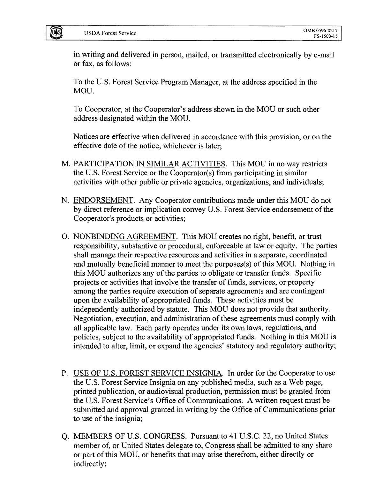Įū\$š

in writing and delivered in person, mailed, or transmitted electronically bye-mail or fax, as follows:

To the U.S. Forest Service Program Manager, at the address specified in the MOU.

To Cooperator, at the Cooperator's address shown in the MOU or such other address designated within the MOU.

Notices are effective when delivered in accordance with this provision, or on the effective date of the notice, whichever is later;

- M. PARTICIPATION IN SIMILAR ACTIVITIES. This MOU in no way restricts the U.S. Forest Service or the Cooperator(s) from participating in similar activities with other public or private agencies, organizations, and individuals;
- N. ENDORSEMENT. Any Cooperator contributions made under this MOU do not by direct reference or implication convey U.S. Forest Service endorsement of the Cooperator's products or activities;
- O. NONBINDING AGREEMENT. This MOU creates no right, benefit, or trust responsibility, substantive or procedural, enforceable at law or equity. The parties shall manage their respective resources and activities in a separate, coordinated and mutually beneficial manner to meet the purposes(s) of this MOU. Nothing in this MOU authorizes any of the parties to obligate or transfer funds. Specific projects or activities that involve the transfer of funds, services, or property among the parties require execution of separate agreements and are contingent upon the availability of appropriated funds. These activities must be independently authorized by statute. This MOU does not provide that authority. Negotiation, execution, and administration of these agreements must comply with all applicable law. Each party operates under its own laws, regulations, and policies, subject to the availability of appropriated funds. Nothing in this MOU is intended to alter, limit, or expand the agencies' statutory and regulatory authority;
- P. USE OF U.S. FOREST SERVICE INSIGNIA. In order for the Cooperator to use the U.S. Forest Service Insignia on any published media, such as a Web page, printed publication, or audiovisual production, permission must be granted from the U.S. Forest Service's Office of Communications. A written request must be submitted and approval granted in writing by the Office of Communications prior to use of the insignia;
- Q. MEMBERS OF U.S. CONGRESS. Pursuant to 41 U.S.C. 22, no United States member of, or United States delegate to, Congress shall be admitted to any share or part ofthis MOU, or benefits that may arise therefrom, either directly or indirectly;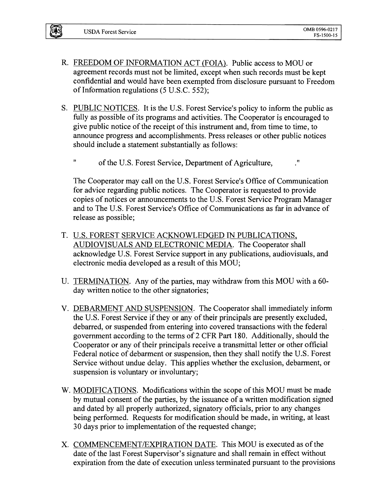- R. FREEDOM OF INFORMATION ACT (FOIA). Public access to MOU or agreement records must not be limited, except when such records must be kept confidential and would have been exempted from disclosure pursuant to Freedom of Information regulations  $(5 \text{ U.S.C. } 552);$
- S. PUBLIC NOTICES. It is the U.S. Forest Service's policy to inform the public as fully as possible of its programs and activities. The Cooperator is encouraged to give public notice of the receipt of this instrument and, from time to time, to announce progress and accomplishments. Press releases or other public notices should include a statement substantially as follows:
	- " ofthe U.S. Forest Service, Department of Agriculture, "

The Cooperator may call on the U.S. Forest Service's Office of Communication for advice regarding public notices. The Cooperator is requested to provide copies of notices or announcements to the U.S. Forest Service Program Manager and to The U.S. Forest Service's Office of Communications as far in advance of release as possible;

- T. U.S. FOREST SERVICE ACKNOWLEDGED IN PUBLICATIONS, AUDIOVISUALS AND ELECTRONIC MEDIA. The Cooperator shall acknowledge U.S. Forest Service support in any publications, audiovisuals, and electronic media developed as a result of this MOU;
- U. TERMINATION. Any of the parties, may withdraw from this MOU with a 60day written notice to the other signatories;
- V. DEBARMENT AND SUSPENSION. The Cooperator shall immediately inform the U.S. Forest Service if they or any of their principals are presently excluded, debarred, or suspended from entering into covered transactions with the federal government according to the terms of2 CFR Part 180. Additionally, should the Cooperator or any of their principals receive a transmittal letter or other official Federal notice of debarment or suspension, then they shall notify the U.S. Forest Service without undue delay. This applies whether the exclusion, debarment, or suspension is voluntary or involuntary;
- W. MODIFICATIONS. Modifications within the scope of this MOU must be made by mutual consent of the parties, by the issuance of a written modification signed and dated by all properly authorized, signatory officials, prior to any changes being performed. Requests for modification should be made, in writing, at least 30 days prior to implementation of the requested change;
- X. COMMENCEMENT/EXPIRATION DATE. This MOU is executed as of the date of the last Forest Supervisor's signature and shall remain in effect without expiration from the date of execution unless terminated pursuant to the provisions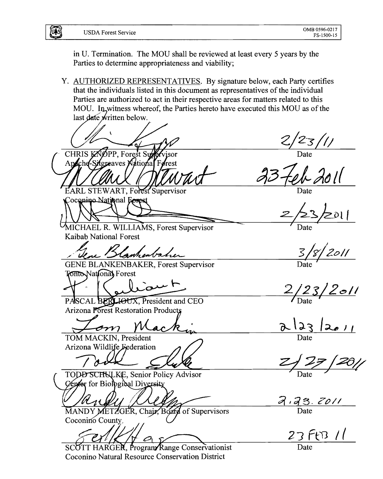US

in U. Termination. The MOU shall be reviewed at least every 5 years by the Parties to determine appropriateness and viability;

Y. AUTHORIZED REPRESENTATIVES. By signature below, each Party certifies that the individuals listed in this document as representatives of the individual Parties are authorized to act in their respective areas for matters related to this MOU. In witness whereof, the Parties hereto have executed this MOU as of the last date written below.

 $2/23/11$ CHRIS KNOPP, Forest Supervisor<br>Appche-Sugreaves National Ferest **EARL STEWART, Forest Supervisor** oconino National Ecres MICHAEL R. WILLIAMS, Forest Supervisor Kaibab National Forest 18 | 2011 Kanhenbaher **GENE BLANKENBAKER, Forest Supervisor Ionto National Forest**  $\alpha$  $2/23/2011$ PASCAL BERLIOUX, President and CEO Arizona Forest Restoration Products  $2\sqrt{23}/2011$ om TOM MACKIN, President Arizona Wildlife Federation TODD SCHULKE, Senior Policy Advisor Cepter for Biological Diversity  $\frac{7.73.7011}{\text{Date}}$ MANDY METZGER, Chair, Board of Supervisors Coconino County,  $23$  FtB 11

SCOTT HARGER. Program Range Conservationist Coconino Natural Resource Conservation District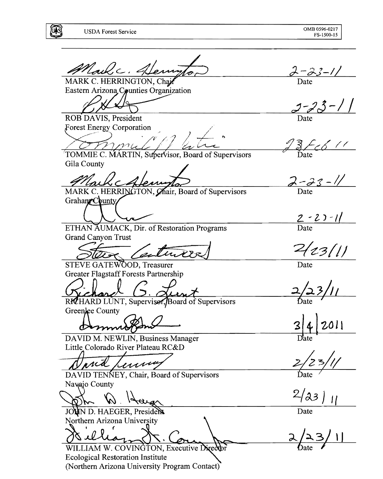E

Mail c. Henry  $\frac{\partial^2 \mathcal{L} - \partial^2 \mathcal{L} - I}{\text{Date}}$ MARK C. HERRINGTON, Chair Eastern Arizona Counties Organization  $2 - 23 - 11$ ROB DAVIS, President Forest Energy Corporation  $\frac{3}{2}$  Feb 11 TOMMIE C. MARTIN, Supervisor, Board of Supervisors Gila County  $\frac{\sum -\frac{\partial z}{\partial t} - \frac{\partial z}{\partial t}}{\text{Date}}$ MARK C. HERRINGTON, Chair, Board of Supervisors GrahaneCounty  $\frac{2-2-1}{\text{Date}}$ ETHAN AUMACK, Dir. of Restoration Programs **Grand Canyon Trust**  $2(z3/1)$  $2$ STEVE GATEWOOD, Treasurer Date Greater Flagstaff Forests Partnership RICHARD LUNT, Supervisor, Board of Supervisors Greenlee County  $011$ Demm DAVID M. NEWLIN, Business Manager Little Colorado River Plateau RC&D prid renne DAVID TENNEY, Chair, Board of Supervisors Navajo County  $2/a3)$  $\overline{H}$ JOUN D. HAEGER, President Date Northern Arizona University WILLIAM W. COVINGTON, Executive Director **Ecological Restoration Institute** (Northern Arizona University Program Contact)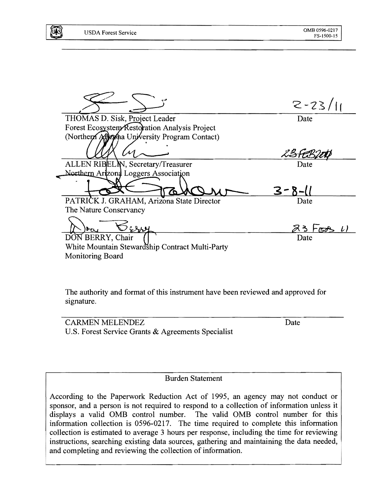|                                                 | $2 - 23/11$ |
|-------------------------------------------------|-------------|
| THOMAS D. Sisk, Project Leader                  | Date        |
| Forest Ecosystem Restoration Analysis Project   |             |
| (Northern Aff) zpha University Program Contact) |             |
|                                                 |             |
| ALLEN RIBELIN, Secretary/Treasurer              | Date        |
| Northern Arizona Loggers Association            |             |
|                                                 | $3 - 8 - 1$ |
| PATRICK J. GRAHAM, Arizona State Director       | Date        |
| The Nature Conservancy                          |             |
|                                                 | 23 FEB      |
| DON BERRY, Chair                                | Date        |
| White Mountain Stewardship Contract Multi-Party |             |
| <b>Monitoring Board</b>                         |             |
|                                                 |             |

The authority and format of this instrument have been reviewed and approved for signature.

CARMEN MELENDEZ Date U.S. Forest Service Grants & Agreements Specialist

#### Burden Statement

According to the Paperwork Reduction Act of 1995, an agency may not conduct or sponsor, and a person is not required to respond to a collection of information unless it displays a valid OMB control number. The valid OMB control number for this information collection is 0596-0217. The time required to complete this information collection is estimated to average 3 hours per response, including the time for reviewing instructions, searching existing data sources, gathering and maintaining the data needed, and completing and reviewing the collection of information.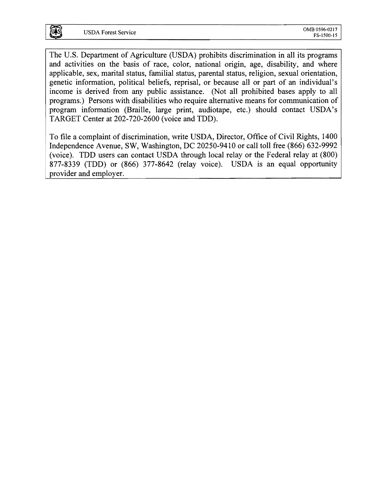The U.S. Department of Agriculture (USDA) prohibits discrimination in all its programs and activities on the basis of race, color, national origin, age, disability, and where applicable, sex, marital status, familial status, parental status, religion, sexual orientation, genetic information, political beliefs, reprisal, or because all or part of an individual's income is derived from any public assistance. (Not all prohibited bases apply to all programs.) Persons with disabilities who require alternative means for communication of program information (Braille, large print, audiotape, etc.) should contact USDA's TARGET Center at 202-720-2600 (voice and TDD).

To file a complaint of discrimination, write USDA, Director, Office of Civil Rights, 1400 Independence Avenue, SW, Washington, DC 20250-9410 or call toll free (866) 632-9992 (voice). TDD users can contact USDA through local relay or the Federal relay at (800) 877-8339 (TDD) or (866) 377-8642 (relay voice). USDA is an equal opportunity provider and employer.